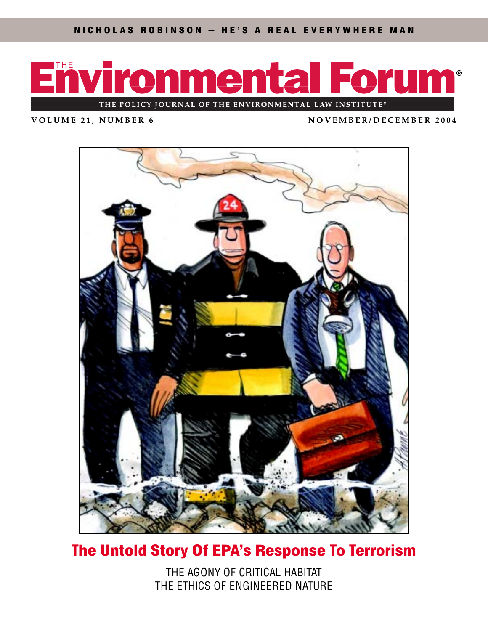

**VOLUME 21, NUMBER 6 NOVEMBER/DECEMBER 2004**



## The Untold Story Of EPA's Response To Terrorism

THE AGONY OF CRITICAL HABITAT THE ETHICS OF ENGINEERED NATURE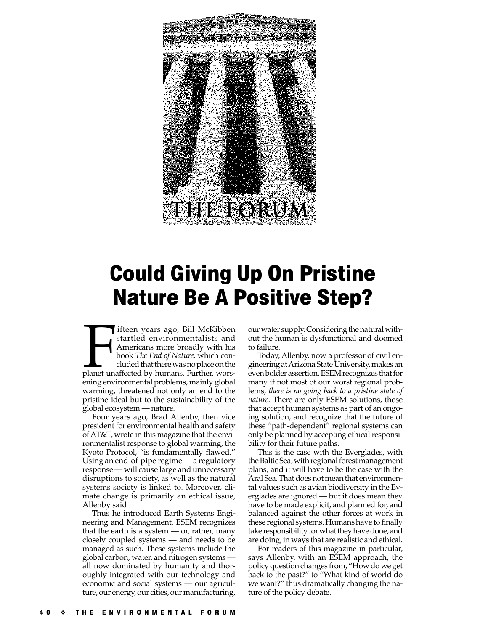

## Could Giving Up On Pristine Nature Be A Positive Step?

Ifteen years ago, Bill McKibben<br>
startled environmentalists and<br>
Americans more broadly with his<br>
book *The End of Nature,* which con-<br>
cluded that there was no place on the<br>
planet unaffected by humans. Further, worsifteen years ago, Bill McKibben startled environmentalists and Americans more broadly with his book *The End of Nature,* which concluded that there was no place on the ening environmental problems, mainly global warming, threatened not only an end to the pristine ideal but to the sustainability of the global ecosystem — nature.

Four years ago, Brad Allenby, then vice president for environmental health and safety of AT&T, wrote in this magazine that the environmentalist response to global warming, the Kyoto Protocol, "is fundamentally flawed." Using an end-of-pipe regime — a regulatory response — will cause large and unnecessary disruptions to society, as well as the natural systems society is linked to. Moreover, climate change is primarily an ethical issue, Allenby said

Thus he introduced Earth Systems Engineering and Management. ESEM recognizes that the earth is a system  $-$  or, rather, many closely coupled systems — and needs to be managed as such. These systems include the global carbon, water, and nitrogen systems all now dominated by humanity and thoroughly integrated with our technology and economic and social systems — our agriculture, our energy, our cities, our manufacturing,

our water supply. Considering the natural without the human is dysfunctional and doomed to failure.

Today, Allenby, now a professor of civil engineering at Arizona State University, makes an even bolder assertion. ESEM recognizes that for many if not most of our worst regional problems, *there is no going back to a pristine state of nature.* There are only ESEM solutions, those that accept human systems as part of an ongoing solution, and recognize that the future of these "path-dependent" regional systems can only be planned by accepting ethical responsibility for their future paths.

This is the case with the Everglades, with the Baltic Sea, with regional forest management plans, and it will have to be the case with the Aral Sea. That does not mean that environmental values such as avian biodiversity in the Everglades are ignored — but it does mean they have to be made explicit, and planned for, and balanced against the other forces at work in these regional systems. Humans have to finally take responsibility for what they have done, and are doing, in ways that are realistic and ethical.

For readers of this magazine in particular, says Allenby, with an ESEM approach, the policy question changes from, "How do we get back to the past?" to "What kind of world do we want?" thus dramatically changing the nature of the policy debate.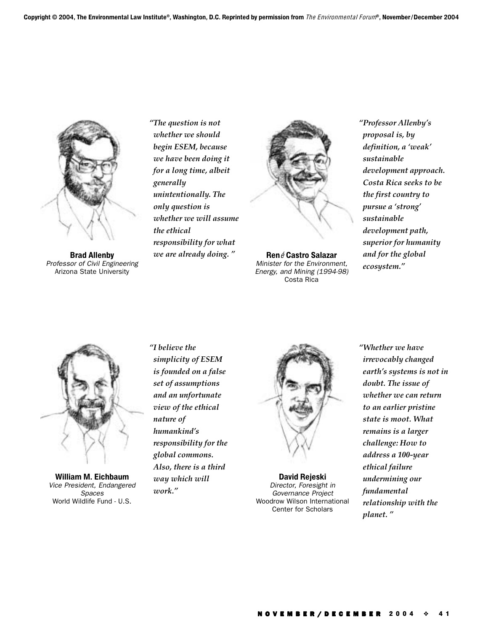

Brad Allenby Professor of Civil Engineering Arizona State University

*"The question is not whether we should begin ESEM, because we have been doing it for a long time, albeit generally unintentionally. The only question is whether we will assume the ethical responsibility for what we are already doing. "*



René Castro Salazar Minister for the Environment, Energy, and Mining (1994-98) Costa Rica

*"Professor Allenby's proposal is, by definition, a 'weak' sustainable development approach. Costa Rica seeks to be the first country to pursue a 'strong' sustainable development path, superior for humanity and for the global ecosystem."*



William M. Eichbaum Vice President, Endangered Spaces World Wildlife Fund - U.S.

*"I believe the simplicity of ESEM is founded on a false set of assumptions and an unfortunate view of the ethical nature of humankind's responsibility for the global commons. Also, there is a third way which will work."*



David Rejeski Director, Foresight in Governance Project Woodrow Wilson International Center for Scholars

*"Whether we have irrevocably changed earth's systems is not in doubt. The issue of whether we can return to an earlier pristine state is moot. What remains is a larger challenge: How to address a 100-year ethical failure undermining our fundamental relationship with the planet. "*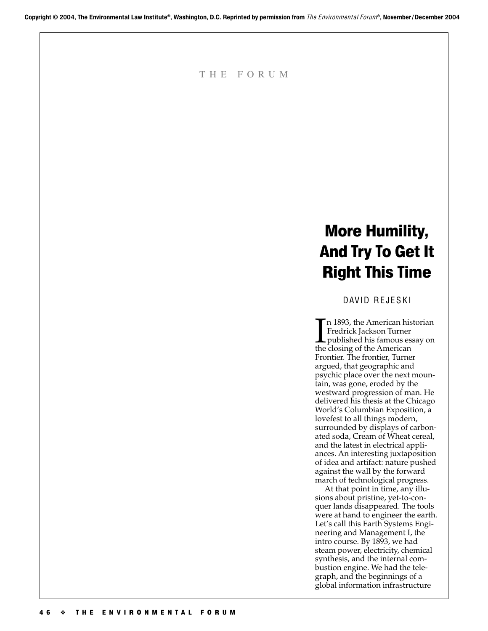THE FORUM

## More Humility, And Try To Get It Right This Time

DAVID REJESKI

In 1893, the American historian<br>
Fredrick Jackson Turner<br>
published his famous essay on<br>
the closing of the American n 1893, the American historian Fredrick Jackson Turner the closing of the American Frontier. The frontier, Turner argued, that geographic and psychic place over the next mountain, was gone, eroded by the westward progression of man. He delivered his thesis at the Chicago World's Columbian Exposition, a lovefest to all things modern, surrounded by displays of carbonated soda, Cream of Wheat cereal, and the latest in electrical appliances. An interesting juxtaposition of idea and artifact: nature pushed against the wall by the forward march of technological progress.

At that point in time, any illusions about pristine, yet-to-conquer lands disappeared. The tools were at hand to engineer the earth. Let's call this Earth Systems Engineering and Management I, the intro course. By 1893, we had steam power, electricity, chemical synthesis, and the internal combustion engine. We had the telegraph, and the beginnings of a global information infrastructure